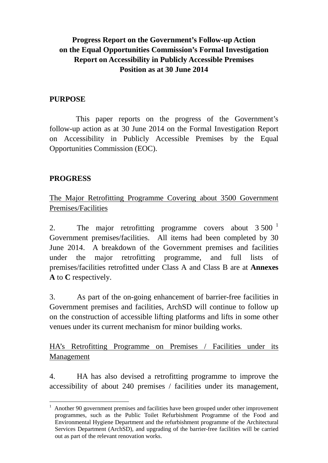# **Progress Report on the Government's Follow-up Action on the Equal Opportunities Commission's Formal Investigation Report on Accessibility in Publicly Accessible Premises Position as at 30 June 2014**

### **PURPOSE**

This paper reports on the progress of the Government's follow-up action as at 30 June 2014 on the Formal Investigation Report on Accessibility in Publicly Accessible Premises by the Equal Opportunities Commission (EOC).

## **PROGRESS**

The Major Retrofitting Programme Covering about 3500 Government Premises/Facilities

2. The major retrofitting programme covers about  $3\,500^{-1}$  $3\,500^{-1}$  $3\,500^{-1}$ Government premises/facilities. All items had been completed by 30 June 2014. A breakdown of the Government premises and facilities under the major retrofitting programme, and full lists of premises/facilities retrofitted under Class A and Class B are at **Annexes A** to **C** respectively.

3. As part of the on-going enhancement of barrier-free facilities in Government premises and facilities, ArchSD will continue to follow up on the construction of accessible lifting platforms and lifts in some other venues under its current mechanism for minor building works.

HA's Retrofitting Programme on Premises / Facilities under its Management

4. HA has also devised a retrofitting programme to improve the accessibility of about 240 premises / facilities under its management,

<span id="page-0-0"></span> <sup>1</sup> Another 90 government premises and facilities have been grouped under other improvement programmes, such as the Public Toilet Refurbishment Programme of the Food and Environmental Hygiene Department and the refurbishment programme of the Architectural Services Department (ArchSD), and upgrading of the barrier-free facilities will be carried out as part of the relevant renovation works.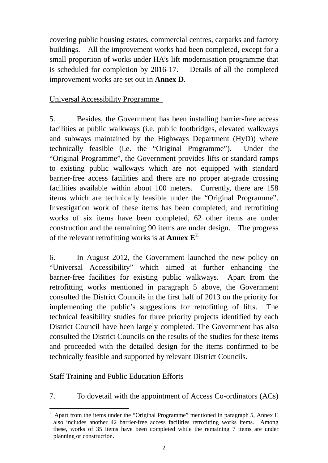covering public housing estates, commercial centres, carparks and factory buildings. All the improvement works had been completed, except for a small proportion of works under HA's lift modernisation programme that is scheduled for completion by 2016-17. Details of all the completed improvement works are set out in **Annex D**.

#### Universal Accessibility Programme

5. Besides, the Government has been installing barrier-free access facilities at public walkways (i.e. public footbridges, elevated walkways and subways maintained by the Highways Department (HyD)) where technically feasible (i.e. the "Original Programme"). Under the "Original Programme", the Government provides lifts or standard ramps to existing public walkways which are not equipped with standard barrier-free access facilities and there are no proper at-grade crossing facilities available within about 100 meters. Currently, there are 158 items which are technically feasible under the "Original Programme". Investigation work of these items has been completed; and retrofitting works of six items have been completed, 62 other items are under construction and the remaining 90 items are under design. The progress of the relevant retrofitting works is at **Annex E**[2](#page-1-0).

6. In August 2012, the Government launched the new policy on "Universal Accessibility" which aimed at further enhancing the barrier-free facilities for existing public walkways. Apart from the retrofitting works mentioned in paragraph 5 above, the Government consulted the District Councils in the first half of 2013 on the priority for implementing the public's suggestions for retrofitting of lifts. The technical feasibility studies for three priority projects identified by each District Council have been largely completed. The Government has also consulted the District Councils on the results of the studies for these items and proceeded with the detailed design for the items confirmed to be technically feasible and supported by relevant District Councils.

## Staff Training and Public Education Efforts

7. To dovetail with the appointment of Access Co-ordinators (ACs)

<span id="page-1-0"></span><sup>&</sup>lt;sup>2</sup> Apart from the items under the "Original Programme" mentioned in paragraph 5, Annex E also includes another 42 barrier-free access facilities retrofitting works items. Among these, works of 35 items have been completed while the remaining 7 items are under planning or construction.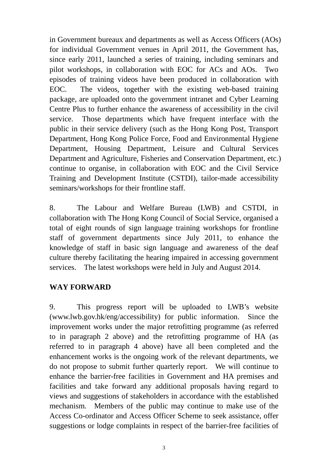in Government bureaux and departments as well as Access Officers (AOs) for individual Government venues in April 2011, the Government has, since early 2011, launched a series of training, including seminars and pilot workshops, in collaboration with EOC for ACs and AOs. Two episodes of training videos have been produced in collaboration with EOC. The videos, together with the existing web-based training package, are uploaded onto the government intranet and Cyber Learning Centre Plus to further enhance the awareness of accessibility in the civil service. Those departments which have frequent interface with the public in their service delivery (such as the Hong Kong Post, Transport Department, Hong Kong Police Force, Food and Environmental Hygiene Department, Housing Department, Leisure and Cultural Services Department and Agriculture, Fisheries and Conservation Department, etc.) continue to organise, in collaboration with EOC and the Civil Service Training and Development Institute (CSTDI), tailor-made accessibility seminars/workshops for their frontline staff.

8. The Labour and Welfare Bureau (LWB) and CSTDI, in collaboration with The Hong Kong Council of Social Service, organised a total of eight rounds of sign language training workshops for frontline staff of government departments since July 2011, to enhance the knowledge of staff in basic sign language and awareness of the deaf culture thereby facilitating the hearing impaired in accessing government services. The latest workshops were held in July and August 2014.

#### **WAY FORWARD**

9. This progress report will be uploaded to LWB's website (www.lwb.gov.hk/eng/accessibility) for public information. Since the improvement works under the major retrofitting programme (as referred to in paragraph 2 above) and the retrofitting programme of HA (as referred to in paragraph 4 above) have all been completed and the enhancement works is the ongoing work of the relevant departments, we do not propose to submit further quarterly report. We will continue to enhance the barrier-free facilities in Government and HA premises and facilities and take forward any additional proposals having regard to views and suggestions of stakeholders in accordance with the established mechanism. Members of the public may continue to make use of the Access Co-ordinator and Access Officer Scheme to seek assistance, offer suggestions or lodge complaints in respect of the barrier-free facilities of